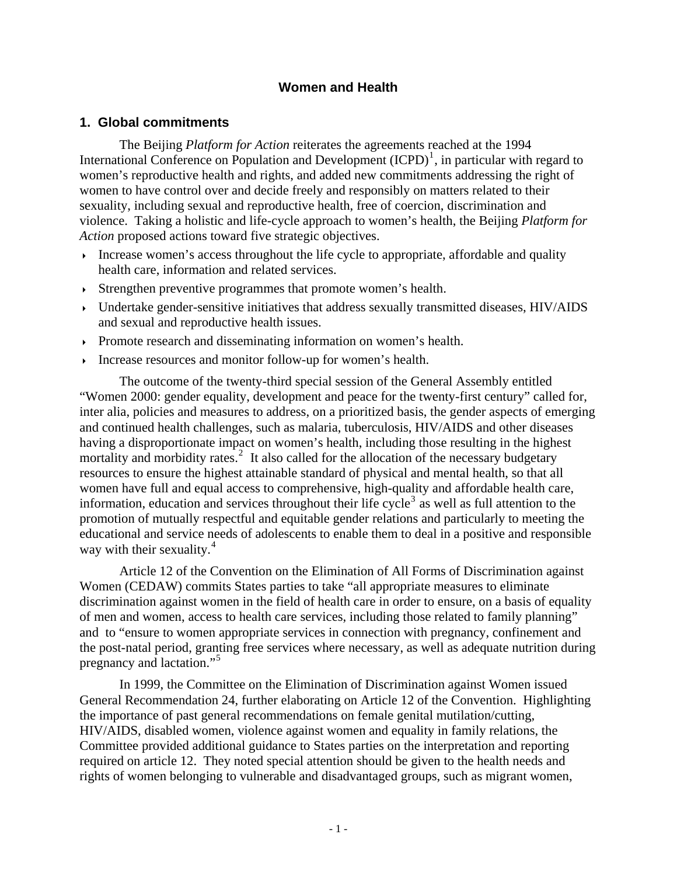# **Women and Health**

### **1. Global commitments**

The Beijing *Platform for Action* reiterates the agreements reached at the 1994 International Conference on Population and Development  $(ICPD)^1$  $(ICPD)^1$ , in particular with regard to women's reproductive health and rights, and added new commitments addressing the right of women to have control over and decide freely and responsibly on matters related to their sexuality, including sexual and reproductive health, free of coercion, discrimination and violence. Taking a holistic and life-cycle approach to women's health, the Beijing *Platform for Action* proposed actions toward five strategic objectives.

- Increase women's access throughout the life cycle to appropriate, affordable and quality health care, information and related services.
- Strengthen preventive programmes that promote women's health.
- Undertake gender-sensitive initiatives that address sexually transmitted diseases, HIV/AIDS and sexual and reproductive health issues.
- Promote research and disseminating information on women's health.
- Increase resources and monitor follow-up for women's health.

The outcome of the twenty-third special session of the General Assembly entitled "Women 2000: gender equality, development and peace for the twenty-first century" called for, inter alia, policies and measures to address, on a prioritized basis, the gender aspects of emerging and continued health challenges, such as malaria, tuberculosis, HIV/AIDS and other diseases having a disproportionate impact on women's health, including those resulting in the highest mortality and morbidity rates.<sup>[2](#page-12-1)</sup> It also called for the allocation of the necessary budgetary resources to ensure the highest attainable standard of physical and mental health, so that all women have full and equal access to comprehensive, high-quality and affordable health care, information, education and services throughout their life cycle<sup>[3](#page-12-1)</sup> as well as full attention to the promotion of mutually respectful and equitable gender relations and particularly to meeting the educational and service needs of adolescents to enable them to deal in a positive and responsible way with their sexuality.<sup>[4](#page-12-1)</sup>

Article 12 of the Convention on the Elimination of All Forms of Discrimination against Women (CEDAW) commits States parties to take "all appropriate measures to eliminate discrimination against women in the field of health care in order to ensure, on a basis of equality of men and women, access to health care services, including those related to family planning" and to "ensure to women appropriate services in connection with pregnancy, confinement and the post-natal period, granting free services where necessary, as well as adequate nutrition during pregnancy and lactation."[5](#page-12-1)

In 1999, the Committee on the Elimination of Discrimination against Women issued General Recommendation 24, further elaborating on Article 12 of the Convention. Highlighting the importance of past general recommendations on female genital mutilation/cutting, HIV/AIDS, disabled women, violence against women and equality in family relations, the Committee provided additional guidance to States parties on the interpretation and reporting required on article 12. They noted special attention should be given to the health needs and rights of women belonging to vulnerable and disadvantaged groups, such as migrant women,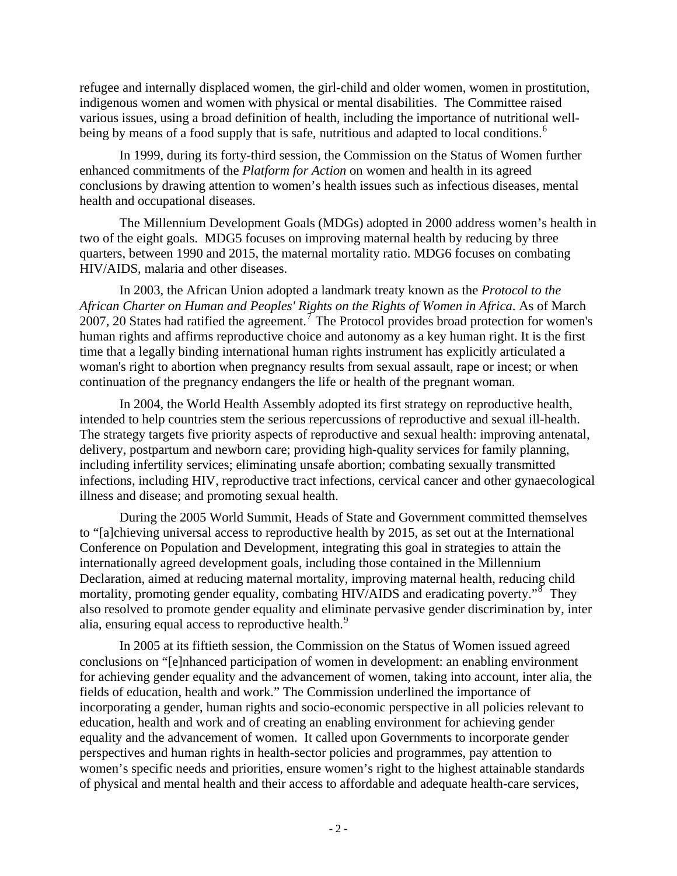refugee and internally displaced women, the girl-child and older women, women in prostitution, indigenous women and women with physical or mental disabilities. The Committee raised various issues, using a broad definition of health, including the importance of nutritional well-being by means of a food supply that is safe, nutritious and adapted to local conditions.<sup>[6](#page-12-1)</sup>

In 1999, during its forty-third session, the Commission on the Status of Women further enhanced commitments of the *Platform for Action* on women and health in its agreed conclusions by drawing attention to women's health issues such as infectious diseases, mental health and occupational diseases.

The Millennium Development Goals (MDGs) adopted in 2000 address women's health in two of the eight goals. MDG5 focuses on improving maternal health by reducing by three quarters, between 1990 and 2015, the maternal mortality ratio. MDG6 focuses on combating HIV/AIDS, malaria and other diseases.

In 2003, the African Union adopted a landmark treaty known as the *Protocol to the African Charter on Human and Peoples' Rights on the Rights of Women in Africa*. As of March 200[7](#page-12-1), 20 States had ratified the agreement.<sup>7</sup> The Protocol provides broad protection for women's human rights and affirms reproductive choice and autonomy as a key human right. It is the first time that a legally binding international human rights instrument has explicitly articulated a woman's right to abortion when pregnancy results from sexual assault, rape or incest; or when continuation of the pregnancy endangers the life or health of the pregnant woman.

In 2004, the World Health Assembly adopted its first strategy on reproductive health, intended to help countries stem the serious repercussions of reproductive and sexual ill-health. The strategy targets five priority aspects of reproductive and sexual health: improving antenatal, delivery, postpartum and newborn care; providing high-quality services for family planning, including infertility services; eliminating unsafe abortion; combating sexually transmitted infections, including HIV, reproductive tract infections, cervical cancer and other gynaecological illness and disease; and promoting sexual health.

During the 2005 World Summit, Heads of State and Government committed themselves to "[a]chieving universal access to reproductive health by 2015, as set out at the International Conference on Population and Development, integrating this goal in strategies to attain the internationally agreed development goals, including those contained in the Millennium Declaration, aimed at reducing maternal mortality, improving maternal health, reducing child mortality, promoting gender equality, combating HIV/AIDS and eradicating poverty."<sup>[8](#page-12-1)</sup> They also resolved to promote gender equality and eliminate pervasive gender discrimination by, inter alia, ensuring equal access to reproductive health.<sup>[9](#page-12-1)</sup>

In 2005 at its fiftieth session, the Commission on the Status of Women issued agreed conclusions on "[e]nhanced participation of women in development: an enabling environment for achieving gender equality and the advancement of women, taking into account, inter alia, the fields of education, health and work." The Commission underlined the importance of incorporating a gender, human rights and socio-economic perspective in all policies relevant to education, health and work and of creating an enabling environment for achieving gender equality and the advancement of women. It called upon Governments to incorporate gender perspectives and human rights in health-sector policies and programmes, pay attention to women's specific needs and priorities, ensure women's right to the highest attainable standards of physical and mental health and their access to affordable and adequate health-care services,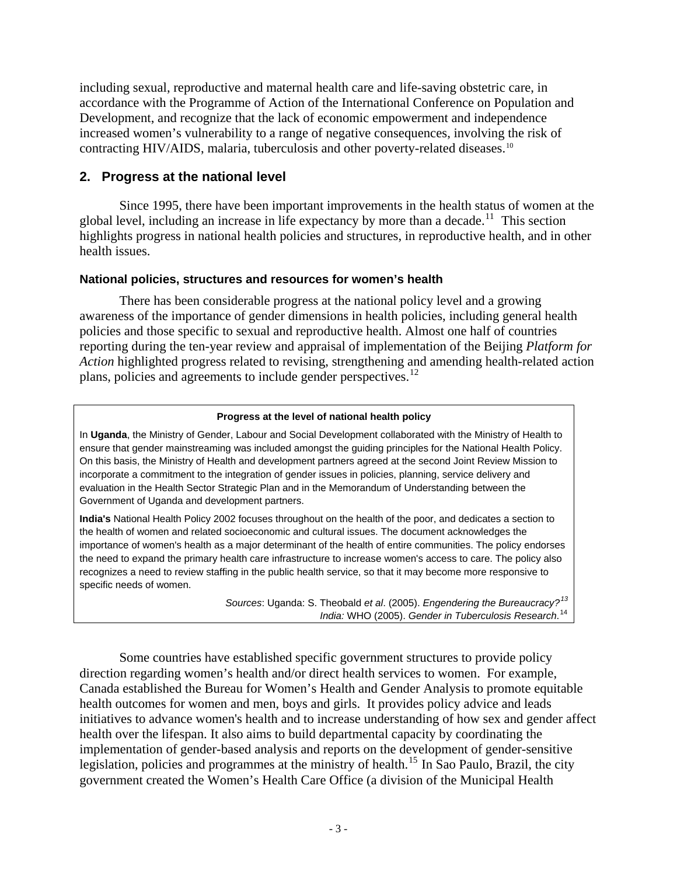including sexual, reproductive and maternal health care and life-saving obstetric care, in accordance with the Programme of Action of the International Conference on Population and Development, and recognize that the lack of economic empowerment and independence increased women's vulnerability to a range of negative consequences, involving the risk of contracting HIV/AIDS, malaria, tuberculosis and other poverty-related diseases.<sup>[10](#page-13-0)</sup>

# **2. Progress at the national level**

 Since 1995, there have been important improvements in the health status of women at the global level, including an increase in life expectancy by more than a decade.<sup>[11](#page-13-0)</sup> This section highlights progress in national health policies and structures, in reproductive health, and in other health issues.

### **National policies, structures and resources for women's health**

 There has been considerable progress at the national policy level and a growing awareness of the importance of gender dimensions in health policies, including general health policies and those specific to sexual and reproductive health. Almost one half of countries reporting during the ten-year review and appraisal of implementation of the Beijing *Platform for Action* highlighted progress related to revising, strengthening and amending health-related action plans, policies and agreements to include gender perspectives.<sup>[12](#page-13-0)</sup>

#### **Progress at the level of national health policy**

In **Uganda**, the Ministry of Gender, Labour and Social Development collaborated with the Ministry of Health to ensure that gender mainstreaming was included amongst the guiding principles for the National Health Policy. On this basis, the Ministry of Health and development partners agreed at the second Joint Review Mission to incorporate a commitment to the integration of gender issues in policies, planning, service delivery and evaluation in the Health Sector Strategic Plan and in the Memorandum of Understanding between the Government of Uganda and development partners.

**India's** National Health Policy 2002 focuses throughout on the health of the poor, and dedicates a section to the health of women and related socioeconomic and cultural issues. The document acknowledges the importance of women's health as a major determinant of the health of entire communities. The policy endorses the need to expand the primary health care infrastructure to increase women's access to care. The policy also recognizes a need to review staffing in the public health service, so that it may become more responsive to specific needs of women.

> *Sources*: Uganda: S. Theobald *et al*. (2005). *Engendering the Bureaucracy?[13](#page-13-0) India:* WHO (2005). *Gender in Tuberculosis Research*. [14](#page-13-0)

 Some countries have established specific government structures to provide policy direction regarding women's health and/or direct health services to women. For example, Canada established the Bureau for Women's Health and Gender Analysis to promote equitable health outcomes for women and men, boys and girls. It provides policy advice and leads initiatives to advance women's health and to increase understanding of how sex and gender affect health over the lifespan. It also aims to build departmental capacity by coordinating the implementation of gender-based analysis and reports on the development of gender-sensitive legislation, policies and programmes at the ministry of health.[15](#page-13-0) In Sao Paulo, Brazil, the city government created the Women's Health Care Office (a division of the Municipal Health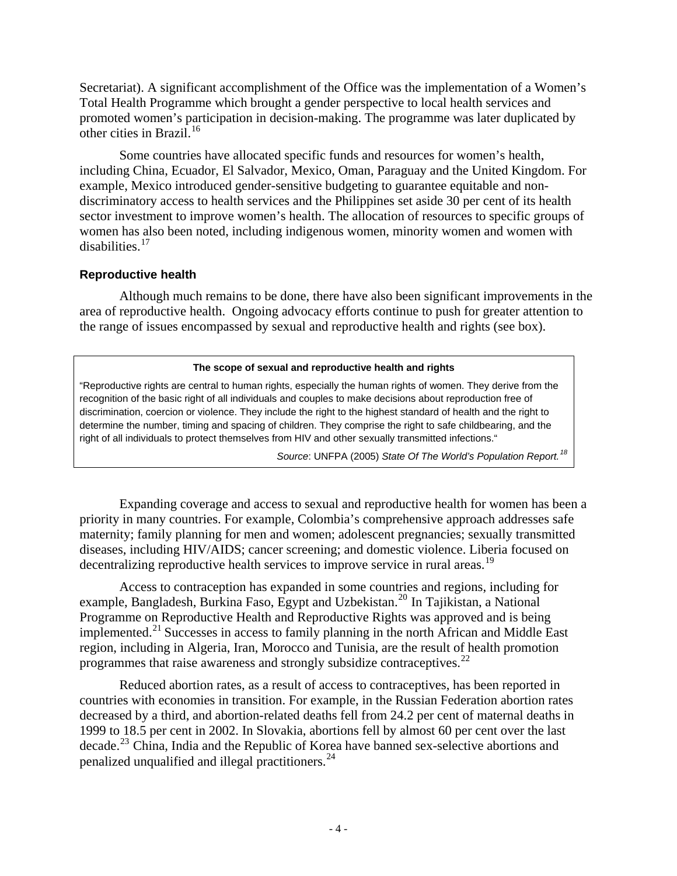Secretariat). A significant accomplishment of the Office was the implementation of a Women's Total Health Programme which brought a gender perspective to local health services and promoted women's participation in decision-making. The programme was later duplicated by other cities in Brazil.<sup>[16](#page-13-0)</sup>

 Some countries have allocated specific funds and resources for women's health, including China, Ecuador, El Salvador, Mexico, Oman, Paraguay and the United Kingdom. For example, Mexico introduced gender-sensitive budgeting to guarantee equitable and nondiscriminatory access to health services and the Philippines set aside 30 per cent of its health sector investment to improve women's health. The allocation of resources to specific groups of women has also been noted, including indigenous women, minority women and women with disabilities.[17](#page-13-0)

### **Reproductive health**

 Although much remains to be done, there have also been significant improvements in the area of reproductive health. Ongoing advocacy efforts continue to push for greater attention to the range of issues encompassed by sexual and reproductive health and rights (see box).

#### **The scope of sexual and reproductive health and rights**

"Reproductive rights are central to human rights, especially the human rights of women. They derive from the recognition of the basic right of all individuals and couples to make decisions about reproduction free of discrimination, coercion or violence. They include the right to the highest standard of health and the right to determine the number, timing and spacing of children. They comprise the right to safe childbearing, and the right of all individuals to protect themselves from HIV and other sexually transmitted infections."

*Source*: UNFPA (2005) *State Of The World's Population Report.[18](#page-13-0)*

 Expanding coverage and access to sexual and reproductive health for women has been a priority in many countries. For example, Colombia's comprehensive approach addresses safe maternity; family planning for men and women; adolescent pregnancies; sexually transmitted diseases, including HIV/AIDS; cancer screening; and domestic violence. Liberia focused on decentralizing reproductive health services to improve service in rural areas.<sup>[19](#page-13-0)</sup>

 Access to contraception has expanded in some countries and regions, including for example, Bangladesh, Burkina Faso, Egypt and Uzbekistan.<sup>[20](#page-13-0)</sup> In Tajikistan, a National Programme on Reproductive Health and Reproductive Rights was approved and is being implemented.<sup>[21](#page-13-0)</sup> Successes in access to family planning in the north African and Middle East region, including in Algeria, Iran, Morocco and Tunisia, are the result of health promotion programmes that raise awareness and strongly subsidize contraceptives.[22](#page-13-0)

 Reduced abortion rates, as a result of access to contraceptives, has been reported in countries with economies in transition. For example, in the Russian Federation abortion rates decreased by a third, and abortion-related deaths fell from 24.2 per cent of maternal deaths in 1999 to 18.5 per cent in 2002. In Slovakia, abortions fell by almost 60 per cent over the last decade.<sup>[23](#page-13-0)</sup> China, India and the Republic of Korea have banned sex-selective abortions and penalized unqualified and illegal practitioners.[24](#page-13-0)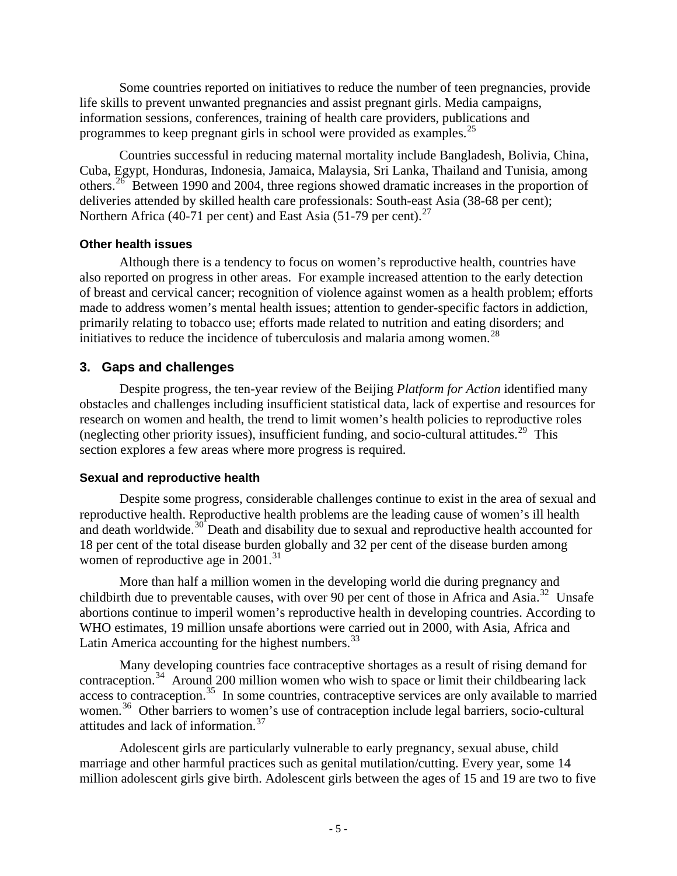Some countries reported on initiatives to reduce the number of teen pregnancies, provide life skills to prevent unwanted pregnancies and assist pregnant girls. Media campaigns, information sessions, conferences, training of health care providers, publications and programmes to keep pregnant girls in school were provided as examples.<sup>[25](#page-13-0)</sup>

 Countries successful in reducing maternal mortality include Bangladesh, Bolivia, China, Cuba, Egypt, Honduras, Indonesia, Jamaica, Malaysia, Sri Lanka, Thailand and Tunisia, among others.<sup>[26](#page-13-0)</sup> Between 1990 and 2004, three regions showed dramatic increases in the proportion of deliveries attended by skilled health care professionals: South-east Asia (38-68 per cent); Northern Africa (40-71 per cent) and East Asia (51-79 per cent).<sup>[27](#page-13-0)</sup>

### **Other health issues**

 Although there is a tendency to focus on women's reproductive health, countries have also reported on progress in other areas. For example increased attention to the early detection of breast and cervical cancer; recognition of violence against women as a health problem; efforts made to address women's mental health issues; attention to gender-specific factors in addiction, primarily relating to tobacco use; efforts made related to nutrition and eating disorders; and initiatives to reduce the incidence of tuberculosis and malaria among women.<sup>[28](#page-14-0)</sup>

## **3. Gaps and challenges**

 Despite progress, the ten-year review of the Beijing *Platform for Action* identified many obstacles and challenges including insufficient statistical data, lack of expertise and resources for research on women and health, the trend to limit women's health policies to reproductive roles (neglecting other priority issues), insufficient funding, and socio-cultural attitudes.<sup>[29](#page-14-0)</sup> This section explores a few areas where more progress is required.

### **Sexual and reproductive health**

 Despite some progress, considerable challenges continue to exist in the area of sexual and reproductive health. Reproductive health problems are the leading cause of women's ill health and death worldwide.<sup>[30](#page-14-0)</sup> Death and disability due to sexual and reproductive health accounted for 18 per cent of the total disease burden globally and 32 per cent of the disease burden among women of reproductive age in  $2001$ .<sup>[31](#page-14-0)</sup>

 More than half a million women in the developing world die during pregnancy and childbirth due to preventable causes, with over 90 per cent of those in Africa and Asia.<sup>[32](#page-14-0)</sup> Unsafe abortions continue to imperil women's reproductive health in developing countries. According to WHO estimates, 19 million unsafe abortions were carried out in 2000, with Asia, Africa and Latin America accounting for the highest numbers. $^{33}$  $^{33}$  $^{33}$ 

 Many developing countries face contraceptive shortages as a result of rising demand for contraception.<sup>[34](#page-14-0)</sup> Around 200 million women who wish to space or limit their childbearing lack access to contraception.<sup>[35](#page-14-0)</sup> In some countries, contraceptive services are only available to married women.<sup>[36](#page-14-0)</sup> Other barriers to women's use of contraception include legal barriers, socio-cultural attitudes and lack of information.[37](#page-14-0)

 Adolescent girls are particularly vulnerable to early pregnancy, sexual abuse, child marriage and other harmful practices such as genital mutilation/cutting. Every year, some 14 million adolescent girls give birth. Adolescent girls between the ages of 15 and 19 are two to five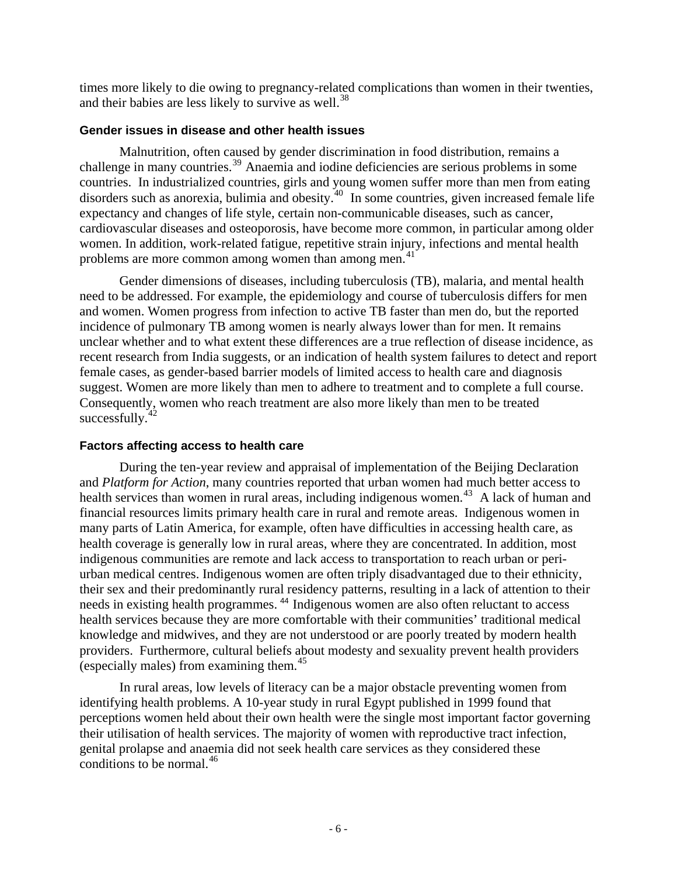times more likely to die owing to pregnancy-related complications than women in their twenties, and their babies are less likely to survive as well.<sup>[38](#page-14-0)</sup>

### **Gender issues in disease and other health issues**

 Malnutrition, often caused by gender discrimination in food distribution, remains a challenge in many countries.<sup>[39](#page-14-0)</sup> Anaemia and iodine deficiencies are serious problems in some countries. In industrialized countries, girls and young women suffer more than men from eating disorders such as anorexia, bulimia and obesity.[40](#page-14-0) In some countries, given increased female life expectancy and changes of life style, certain non-communicable diseases, such as cancer, cardiovascular diseases and osteoporosis, have become more common, in particular among older women. In addition, work-related fatigue, repetitive strain injury, infections and mental health problems are more common among women than among men.<sup>[41](#page-14-0)</sup>

 Gender dimensions of diseases, including tuberculosis (TB), malaria, and mental health need to be addressed. For example, the epidemiology and course of tuberculosis differs for men and women. Women progress from infection to active TB faster than men do, but the reported incidence of pulmonary TB among women is nearly always lower than for men. It remains unclear whether and to what extent these differences are a true reflection of disease incidence, as recent research from India suggests, or an indication of health system failures to detect and report female cases, as gender-based barrier models of limited access to health care and diagnosis suggest. Women are more likely than men to adhere to treatment and to complete a full course. Consequently, women who reach treatment are also more likely than men to be treated successfully. $42$ 

# **Factors affecting access to health care**

 During the ten-year review and appraisal of implementation of the Beijing Declaration and *Platform for Action*, many countries reported that urban women had much better access to health services than women in rural areas, including indigenous women.<sup>[43](#page-14-0)</sup> A lack of human and financial resources limits primary health care in rural and remote areas. Indigenous women in many parts of Latin America, for example, often have difficulties in accessing health care, as health coverage is generally low in rural areas, where they are concentrated. In addition, most indigenous communities are remote and lack access to transportation to reach urban or periurban medical centres. Indigenous women are often triply disadvantaged due to their ethnicity, their sex and their predominantly rural residency patterns, resulting in a lack of attention to their needs in existing health programmes. [44](#page-14-0) Indigenous women are also often reluctant to access health services because they are more comfortable with their communities' traditional medical knowledge and midwives, and they are not understood or are poorly treated by modern health providers. Furthermore, cultural beliefs about modesty and sexuality prevent health providers (especially males) from examining them. $45$ 

 In rural areas, low levels of literacy can be a major obstacle preventing women from identifying health problems. A 10-year study in rural Egypt published in 1999 found that perceptions women held about their own health were the single most important factor governing their utilisation of health services. The majority of women with reproductive tract infection, genital prolapse and anaemia did not seek health care services as they considered these conditions to be normal. $46$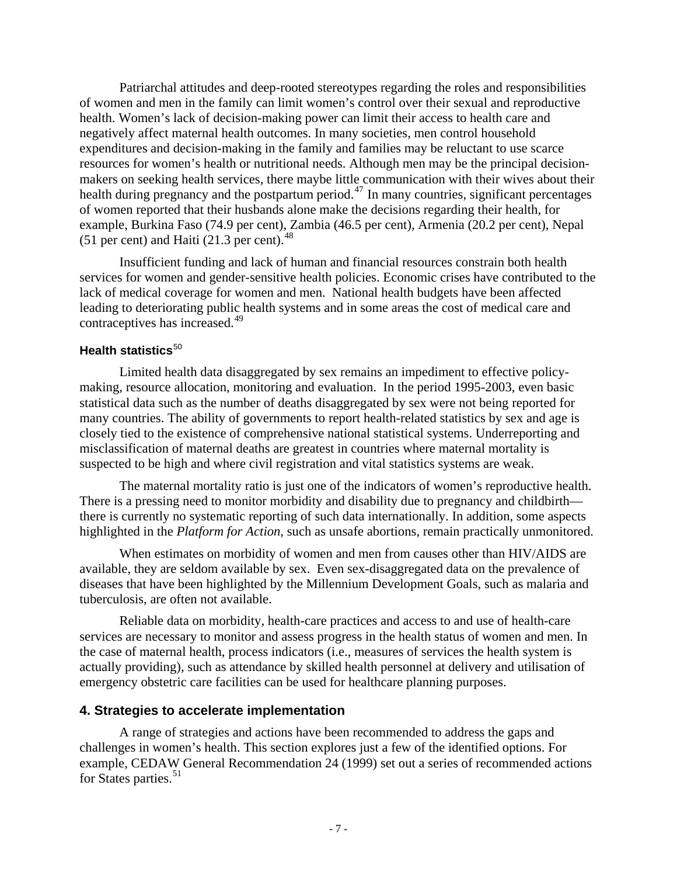Patriarchal attitudes and deep-rooted stereotypes regarding the roles and responsibilities of women and men in the family can limit women's control over their sexual and reproductive health. Women's lack of decision-making power can limit their access to health care and negatively affect maternal health outcomes. In many societies, men control household expenditures and decision-making in the family and families may be reluctant to use scarce resources for women's health or nutritional needs. Although men may be the principal decisionmakers on seeking health services, there maybe little communication with their wives about their health during pregnancy and the postpartum period.<sup>[47](#page-15-0)</sup> In many countries, significant percentages of women reported that their husbands alone make the decisions regarding their health, for example, Burkina Faso (74.9 per cent), Zambia (46.5 per cent), Armenia (20.2 per cent), Nepal (51 per cent) and Haiti (21.3 per cent). $48$ 

 Insufficient funding and lack of human and financial resources constrain both health services for women and gender-sensitive health policies. Economic crises have contributed to the lack of medical coverage for women and men. National health budgets have been affected leading to deteriorating public health systems and in some areas the cost of medical care and contraceptives has increased.<sup>[49](#page-15-0)</sup>

# **Health statistics**<sup>[50](#page-15-0)</sup>

 Limited health data disaggregated by sex remains an impediment to effective policymaking, resource allocation, monitoring and evaluation. In the period 1995-2003, even basic statistical data such as the number of deaths disaggregated by sex were not being reported for many countries. The ability of governments to report health-related statistics by sex and age is closely tied to the existence of comprehensive national statistical systems. Underreporting and misclassification of maternal deaths are greatest in countries where maternal mortality is suspected to be high and where civil registration and vital statistics systems are weak.

 The maternal mortality ratio is just one of the indicators of women's reproductive health. There is a pressing need to monitor morbidity and disability due to pregnancy and childbirth there is currently no systematic reporting of such data internationally. In addition, some aspects highlighted in the *Platform for Action*, such as unsafe abortions, remain practically unmonitored.

 When estimates on morbidity of women and men from causes other than HIV/AIDS are available, they are seldom available by sex. Even sex-disaggregated data on the prevalence of diseases that have been highlighted by the Millennium Development Goals, such as malaria and tuberculosis, are often not available.

 Reliable data on morbidity, health-care practices and access to and use of health-care services are necessary to monitor and assess progress in the health status of women and men. In the case of maternal health, process indicators (i.e., measures of services the health system is actually providing), such as attendance by skilled health personnel at delivery and utilisation of emergency obstetric care facilities can be used for healthcare planning purposes.

# **4. Strategies to accelerate implementation**

 A range of strategies and actions have been recommended to address the gaps and challenges in women's health. This section explores just a few of the identified options. For example, CEDAW General Recommendation 24 (1999) set out a series of recommended actions for States parties.<sup>[51](#page-15-0)</sup>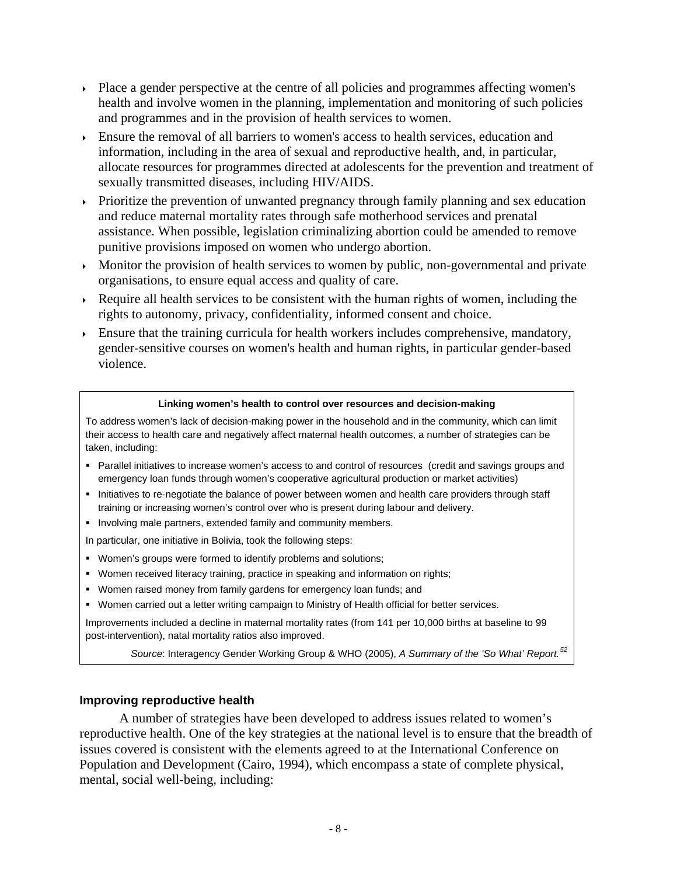- Place a gender perspective at the centre of all policies and programmes affecting women's health and involve women in the planning, implementation and monitoring of such policies and programmes and in the provision of health services to women.
- Ensure the removal of all barriers to women's access to health services, education and information, including in the area of sexual and reproductive health, and, in particular, allocate resources for programmes directed at adolescents for the prevention and treatment of sexually transmitted diseases, including HIV/AIDS.
- $\rightarrow$  Prioritize the prevention of unwanted pregnancy through family planning and sex education and reduce maternal mortality rates through safe motherhood services and prenatal assistance. When possible, legislation criminalizing abortion could be amended to remove punitive provisions imposed on women who undergo abortion.
- $\rightarrow$  Monitor the provision of health services to women by public, non-governmental and private organisations, to ensure equal access and quality of care.
- Require all health services to be consistent with the human rights of women, including the rights to autonomy, privacy, confidentiality, informed consent and choice.
- Ensure that the training curricula for health workers includes comprehensive, mandatory, gender-sensitive courses on women's health and human rights, in particular gender-based violence.

#### **Linking women's health to control over resources and decision-making**

To address women's lack of decision-making power in the household and in the community, which can limit their access to health care and negatively affect maternal health outcomes, a number of strategies can be taken, including:

- Parallel initiatives to increase women's access to and control of resources (credit and savings groups and emergency loan funds through women's cooperative agricultural production or market activities)
- Initiatives to re-negotiate the balance of power between women and health care providers through staff training or increasing women's control over who is present during labour and delivery.
- **Involving male partners, extended family and community members.**

In particular, one initiative in Bolivia, took the following steps:

- **Women's groups were formed to identify problems and solutions;**
- Women received literacy training, practice in speaking and information on rights;
- Women raised money from family gardens for emergency loan funds; and
- Women carried out a letter writing campaign to Ministry of Health official for better services.

Improvements included a decline in maternal mortality rates (from 141 per 10,000 births at baseline to 99 post-intervention), natal mortality ratios also improved.

*Source*: Interagency Gender Working Group & WHO (2005), *A Summary of the 'So What' Report.[52](#page-15-0)*

### **Improving reproductive health**

 A number of strategies have been developed to address issues related to women's reproductive health. One of the key strategies at the national level is to ensure that the breadth of issues covered is consistent with the elements agreed to at the International Conference on Population and Development (Cairo, 1994), which encompass a state of complete physical, mental, social well-being, including: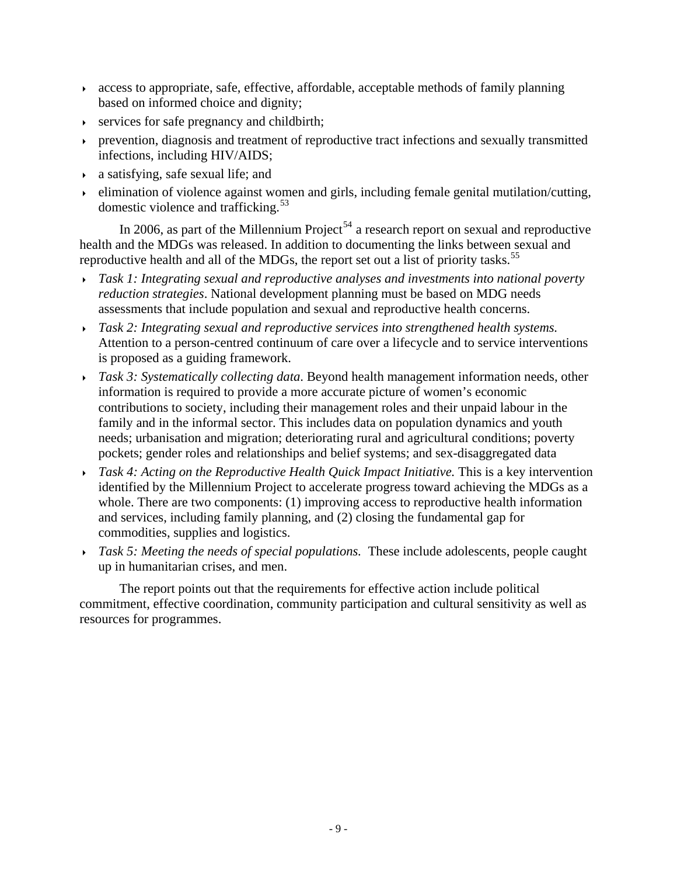- access to appropriate, safe, effective, affordable, acceptable methods of family planning based on informed choice and dignity;
- $\rightarrow$  services for safe pregnancy and childbirth;
- prevention, diagnosis and treatment of reproductive tract infections and sexually transmitted infections, including HIV/AIDS;
- a satisfying, safe sexual life; and
- $\rightarrow$  elimination of violence against women and girls, including female genital mutilation/cutting, domestic violence and trafficking.<sup>[53](#page-15-0)</sup>

In 2006, as part of the Millennium Project<sup>[54](#page-15-0)</sup> a research report on sexual and reproductive health and the MDGs was released. In addition to documenting the links between sexual and reproductive health and all of the MDGs, the report set out a list of priority tasks.<sup>[55](#page-15-0)</sup>

- *Task 1: Integrating sexual and reproductive analyses and investments into national poverty reduction strategies*. National development planning must be based on MDG needs assessments that include population and sexual and reproductive health concerns.
- *Task 2: Integrating sexual and reproductive services into strengthened health systems.*  Attention to a person-centred continuum of care over a lifecycle and to service interventions is proposed as a guiding framework.
- *Task 3: Systematically collecting data*. Beyond health management information needs, other information is required to provide a more accurate picture of women's economic contributions to society, including their management roles and their unpaid labour in the family and in the informal sector. This includes data on population dynamics and youth needs; urbanisation and migration; deteriorating rural and agricultural conditions; poverty pockets; gender roles and relationships and belief systems; and sex-disaggregated data
- *Task 4: Acting on the Reproductive Health Quick Impact Initiative.* This is a key intervention identified by the Millennium Project to accelerate progress toward achieving the MDGs as a whole. There are two components: (1) improving access to reproductive health information and services, including family planning, and (2) closing the fundamental gap for commodities, supplies and logistics.
- *Task 5: Meeting the needs of special populations.* These include adolescents, people caught up in humanitarian crises, and men.

 The report points out that the requirements for effective action include political commitment, effective coordination, community participation and cultural sensitivity as well as resources for programmes.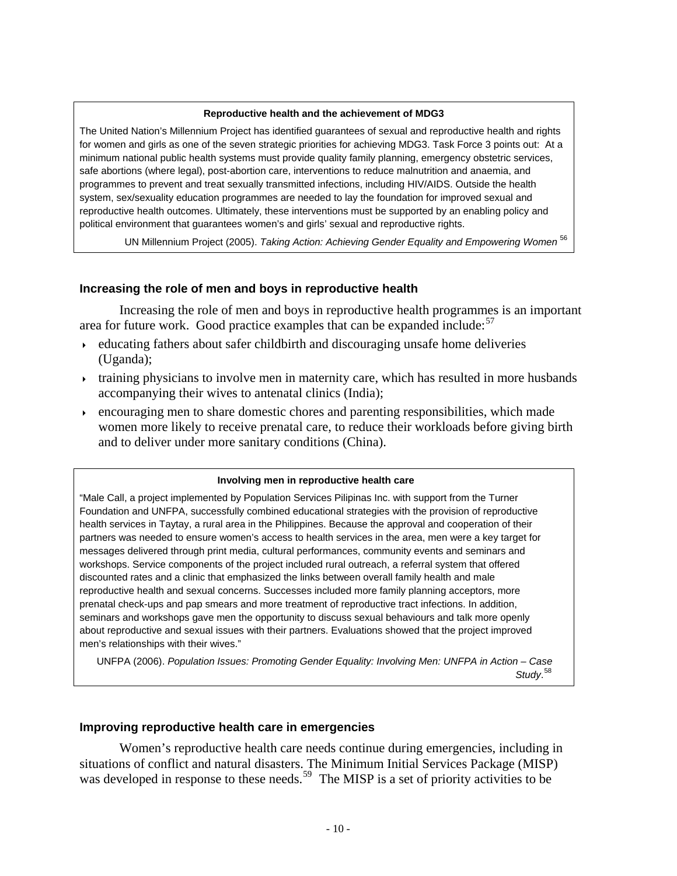#### **Reproductive health and the achievement of MDG3**

The United Nation's Millennium Project has identified guarantees of sexual and reproductive health and rights for women and girls as one of the seven strategic priorities for achieving MDG3. Task Force 3 points out: At a minimum national public health systems must provide quality family planning, emergency obstetric services, safe abortions (where legal), post-abortion care, interventions to reduce malnutrition and anaemia, and programmes to prevent and treat sexually transmitted infections, including HIV/AIDS. Outside the health system, sex/sexuality education programmes are needed to lay the foundation for improved sexual and reproductive health outcomes. Ultimately, these interventions must be supported by an enabling policy and political environment that guarantees women's and girls' sexual and reproductive rights.

UN Millennium Project (2005). *Taking Action: Achieving Gender Equality and Empowering Women* [56](#page-15-0)

### **Increasing the role of men and boys in reproductive health**

 Increasing the role of men and boys in reproductive health programmes is an important area for future work. Good practice examples that can be expanded include: $57$ 

- $\rightarrow$  educating fathers about safer childbirth and discouraging unsafe home deliveries (Uganda);
- $\rightarrow$  training physicians to involve men in maternity care, which has resulted in more husbands accompanying their wives to antenatal clinics (India);
- $\epsilon$  encouraging men to share domestic chores and parenting responsibilities, which made women more likely to receive prenatal care, to reduce their workloads before giving birth and to deliver under more sanitary conditions (China).

#### **Involving men in reproductive health care**

"Male Call, a project implemented by Population Services Pilipinas Inc. with support from the Turner Foundation and UNFPA, successfully combined educational strategies with the provision of reproductive health services in Taytay, a rural area in the Philippines. Because the approval and cooperation of their partners was needed to ensure women's access to health services in the area, men were a key target for messages delivered through print media, cultural performances, community events and seminars and workshops. Service components of the project included rural outreach, a referral system that offered discounted rates and a clinic that emphasized the links between overall family health and male reproductive health and sexual concerns. Successes included more family planning acceptors, more prenatal check-ups and pap smears and more treatment of reproductive tract infections. In addition, seminars and workshops gave men the opportunity to discuss sexual behaviours and talk more openly about reproductive and sexual issues with their partners. Evaluations showed that the project improved men's relationships with their wives."

UNFPA (2006). *Population Issues: Promoting Gender Equality: Involving Men: UNFPA in Action – Case Study*. [58](#page-15-0)

### **Improving reproductive health care in emergencies**

 Women's reproductive health care needs continue during emergencies, including in situations of conflict and natural disasters. The Minimum Initial Services Package (MISP) was developed in response to these needs.<sup>[59](#page-15-0)</sup> The MISP is a set of priority activities to be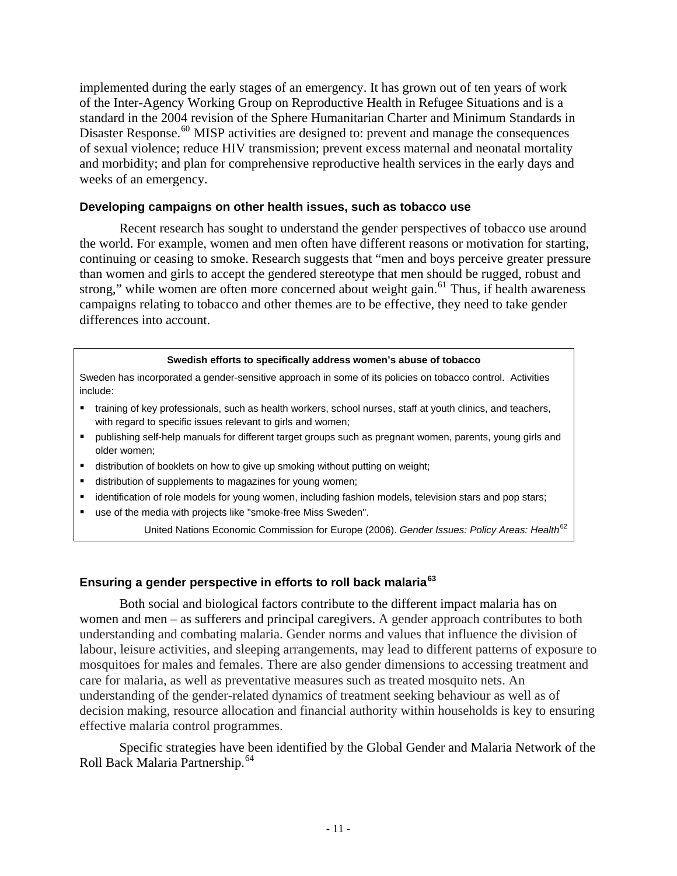implemented during the early stages of an emergency. It has grown out of ten years of work of the Inter-Agency Working Group on Reproductive Health in Refugee Situations and is a standard in the 2004 revision of the Sphere Humanitarian Charter and Minimum Standards in Disaster Response.<sup>[60](#page-15-0)</sup> MISP activities are designed to: prevent and manage the consequences of sexual violence; reduce HIV transmission; prevent excess maternal and neonatal mortality and morbidity; and plan for comprehensive reproductive health services in the early days and weeks of an emergency.

### **Developing campaigns on other health issues, such as tobacco use**

 Recent research has sought to understand the gender perspectives of tobacco use around the world. For example, women and men often have different reasons or motivation for starting, continuing or ceasing to smoke. Research suggests that "men and boys perceive greater pressure than women and girls to accept the gendered stereotype that men should be rugged, robust and strong," while women are often more concerned about weight gain.<sup>[61](#page-15-0)</sup> Thus, if health awareness campaigns relating to tobacco and other themes are to be effective, they need to take gender differences into account.

#### **Swedish efforts to specifically address women's abuse of tobacco**

Sweden has incorporated a gender-sensitive approach in some of its policies on tobacco control. Activities include:

- training of key professionals, such as health workers, school nurses, staff at youth clinics, and teachers, with regard to specific issues relevant to girls and women;
- publishing self-help manuals for different target groups such as pregnant women, parents, young girls and older women;
- distribution of booklets on how to give up smoking without putting on weight;
- distribution of supplements to magazines for young women;
- identification of role models for young women, including fashion models, television stars and pop stars;
- use of the media with projects like "smoke-free Miss Sweden".

United Nations Economic Commission for Europe (2006). *Gender Issues: Policy Areas: Health*[62](#page-15-0)

### **Ensuring a gender perspective in efforts to roll back malaria[63](#page-15-0)**

 Both social and biological factors contribute to the different impact malaria has on women and men – as sufferers and principal caregivers. A gender approach contributes to both understanding and combating malaria. Gender norms and values that influence the division of labour, leisure activities, and sleeping arrangements, may lead to different patterns of exposure to mosquitoes for males and females. There are also gender dimensions to accessing treatment and care for malaria, as well as preventative measures such as treated mosquito nets. An understanding of the gender-related dynamics of treatment seeking behaviour as well as of decision making, resource allocation and financial authority within households is key to ensuring effective malaria control programmes.

 Specific strategies have been identified by the Global Gender and Malaria Network of the Roll Back Malaria Partnership.<sup>[64](#page-15-0)</sup>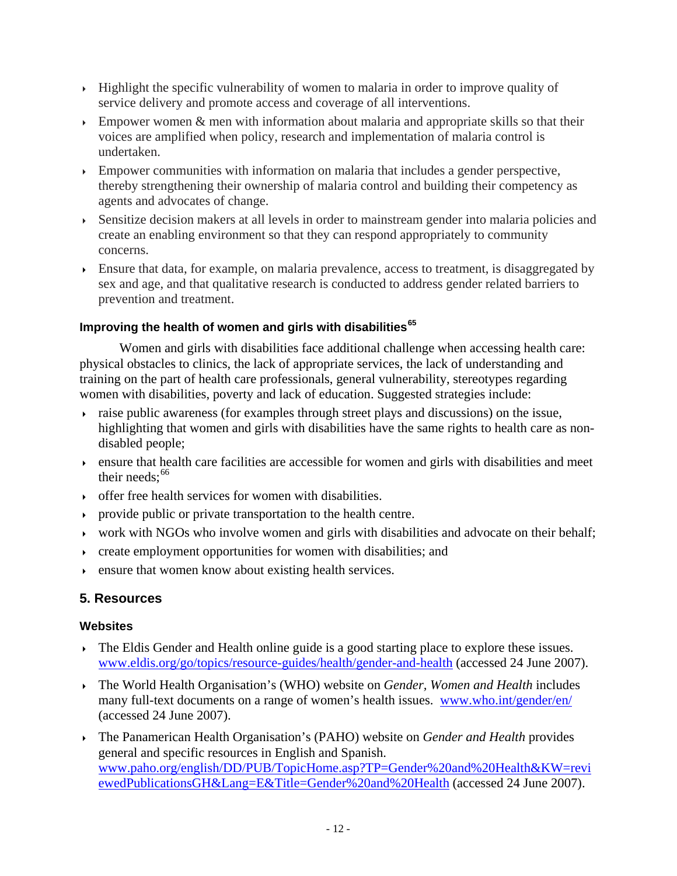- $\rightarrow$  Highlight the specific vulnerability of women to malaria in order to improve quality of service delivery and promote access and coverage of all interventions.
- Empower women  $\&$  men with information about malaria and appropriate skills so that their voices are amplified when policy, research and implementation of malaria control is undertaken.
- Empower communities with information on malaria that includes a gender perspective, thereby strengthening their ownership of malaria control and building their competency as agents and advocates of change.
- Sensitize decision makers at all levels in order to mainstream gender into malaria policies and create an enabling environment so that they can respond appropriately to community concerns.
- Ensure that data, for example, on malaria prevalence, access to treatment, is disaggregated by sex and age, and that qualitative research is conducted to address gender related barriers to prevention and treatment.

# **Improving the health of women and girls with disabilities[65](#page-15-0)**

 Women and girls with disabilities face additional challenge when accessing health care: physical obstacles to clinics, the lack of appropriate services, the lack of understanding and training on the part of health care professionals, general vulnerability, stereotypes regarding women with disabilities, poverty and lack of education. Suggested strategies include:

- raise public awareness (for examples through street plays and discussions) on the issue, highlighting that women and girls with disabilities have the same rights to health care as nondisabled people;
- $\rightarrow$  ensure that health care facilities are accessible for women and girls with disabilities and meet their needs: $66$
- offer free health services for women with disabilities.
- provide public or private transportation to the health centre.
- work with NGOs who involve women and girls with disabilities and advocate on their behalf;
- $\rightarrow$  create employment opportunities for women with disabilities; and
- ensure that women know about existing health services.

# **5. Resources**

# **Websites**

- $\rightarrow$  The Eldis Gender and Health online guide is a good starting place to explore these issues. [www.eldis.org/go/topics/resource-guides/health/gender-and-health](http://www.eldis.org/go/topics/resource-guides/health/gender-and-health) (accessed 24 June 2007).
- The World Health Organisation's (WHO) website on *Gender, Women and Health* includes many full-text documents on a range of women's health issues. [www.who.int/gender/en/](http://www.who.int/gender/en/) (accessed 24 June 2007).
- The Panamerican Health Organisation's (PAHO) website on *Gender and Health* provides general and specific resources in English and Spanish. [www.paho.org/english/DD/PUB/TopicHome.asp?TP=Gender%20and%20Health&KW=revi](http://www.paho.org/english/DD/PUB/TopicHome.asp?TP=Gender%20and%20Health&KW=reviewedPublicationsGH&Lang=E&Title=Gender%20and%20Health) [ewedPublicationsGH&Lang=E&Title=Gender%20and%20Health](http://www.paho.org/english/DD/PUB/TopicHome.asp?TP=Gender%20and%20Health&KW=reviewedPublicationsGH&Lang=E&Title=Gender%20and%20Health) (accessed 24 June 2007).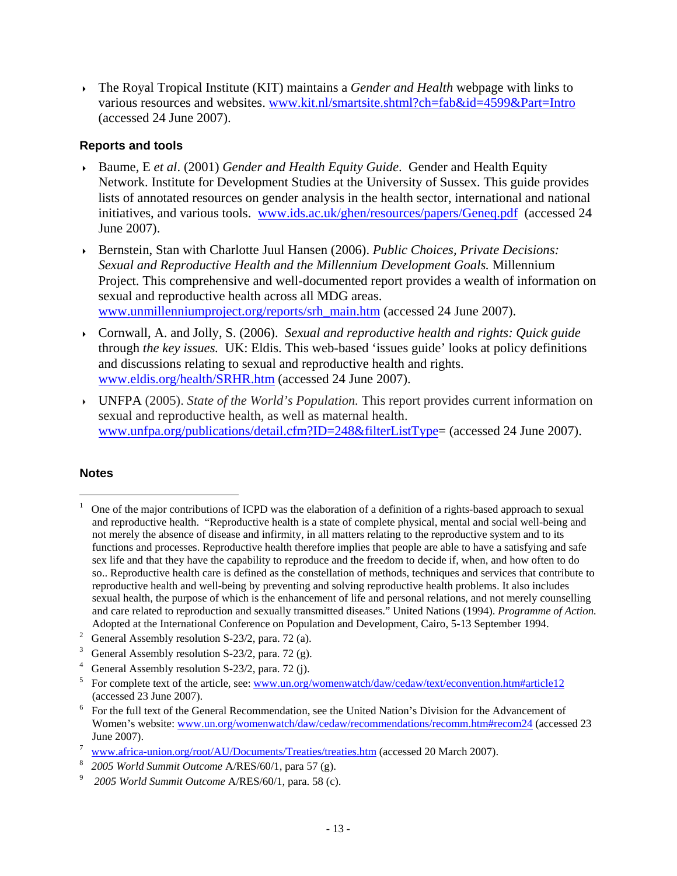<span id="page-12-1"></span> The Royal Tropical Institute (KIT) maintains a *Gender and Health* webpage with links to various resources and websites. [www.kit.nl/smartsite.shtml?ch=fab&id=4599&Part=Intro](http://www.kit.nl/smartsite.shtml?ch=fab&id=4599&Part=Intro)  (accessed 24 June 2007).

# **Reports and tools**

- Baume, E *et al*. (2001) *Gender and Health Equity Guide*. Gender and Health Equity Network. Institute for Development Studies at the University of Sussex. This guide provides lists of annotated resources on gender analysis in the health sector, international and national initiatives, and various tools. [www.ids.ac.uk/ghen/resources/papers/Geneq.pdf](http://www.ids.ac.uk/ghen/resources/papers/Geneq.pdf) (accessed 24 June 2007).
- Bernstein, Stan with Charlotte Juul Hansen (2006). *Public Choices, Private Decisions: Sexual and Reproductive Health and the Millennium Development Goals.* Millennium Project. This comprehensive and well-documented report provides a wealth of information on sexual and reproductive health across all MDG areas. [www.unmillenniumproject.org/reports/srh\\_main.htm](http://www.unmillenniumproject.org/reports/srh_main.htm) (accessed 24 June 2007).
- Cornwall, A. and Jolly, S. (2006). *Sexual and reproductive health and rights: Quick guide*  through *the key issues.* UK: Eldis. This web-based 'issues guide' looks at policy definitions and discussions relating to sexual and reproductive health and rights. [www.eldis.org/health/SRHR.htm](http://www.eldis.org/health/SRHR.htm) (accessed 24 June 2007).
- UNFPA (2005). *State of the World's Population.* This report provides current information on sexual and reproductive health, as well as maternal health. [www.unfpa.org/publications/detail.cfm?ID=248&filterListType=](http://www.unfpa.org/publications/detail.cfm?ID=248&filterListType) (accessed 24 June 2007).

# **Notes**

<span id="page-12-0"></span><sup>1</sup> One of the major contributions of ICPD was the elaboration of a definition of a rights-based approach to sexual and reproductive health. "Reproductive health is a state of complete physical, mental and social well-being and not merely the absence of disease and infirmity, in all matters relating to the reproductive system and to its functions and processes. Reproductive health therefore implies that people are able to have a satisfying and safe sex life and that they have the capability to reproduce and the freedom to decide if, when, and how often to do so.. Reproductive health care is defined as the constellation of methods, techniques and services that contribute to reproductive health and well-being by preventing and solving reproductive health problems. It also includes sexual health, the purpose of which is the enhancement of life and personal relations, and not merely counselling and care related to reproduction and sexually transmitted diseases." United Nations (1994). *Programme of Action.* Adopted at the International Conference on Population and Development, Cairo, 5-13 September 1994. 2

<sup>&</sup>lt;sup>2</sup> General Assembly resolution S-23/2, para. 72 (a).

<sup>3</sup> General Assembly resolution S-23/2, para. 72 (g).

<sup>4</sup> General Assembly resolution S-23/2, para. 72 (j).

<sup>5</sup> For complete text of the article, see: [www.un.org/womenwatch/daw/cedaw/text/econvention.htm#article12](http://www.un.org/womenwatch/daw/cedaw/text/econvention.htm#article12) (accessed 23 June 2007).<br> $\frac{6}{10}$  For the full text of the Ge

For the full text of the General Recommendation, see the United Nation's Division for the Advancement of Women's website: [www.un.org/womenwatch/daw/cedaw/recommendations/recomm.htm#recom24](http://www.un.org/womenwatch/daw/cedaw/recommendations/recomm.htm#recom24) (accessed 23 June 2007).

[www.africa-union.org/root/AU/Documents/Treaties/treaties.htm](http://www.africa-union.org/root/AU/Documents/Treaties/treaties.htm) (accessed 20 March 2007).

*<sup>2005</sup> World Summit Outcome A/RES/60/1, para 57 (g).* 

*2005 World Summit Outcome* A/RES/60/1, para. 58 (c).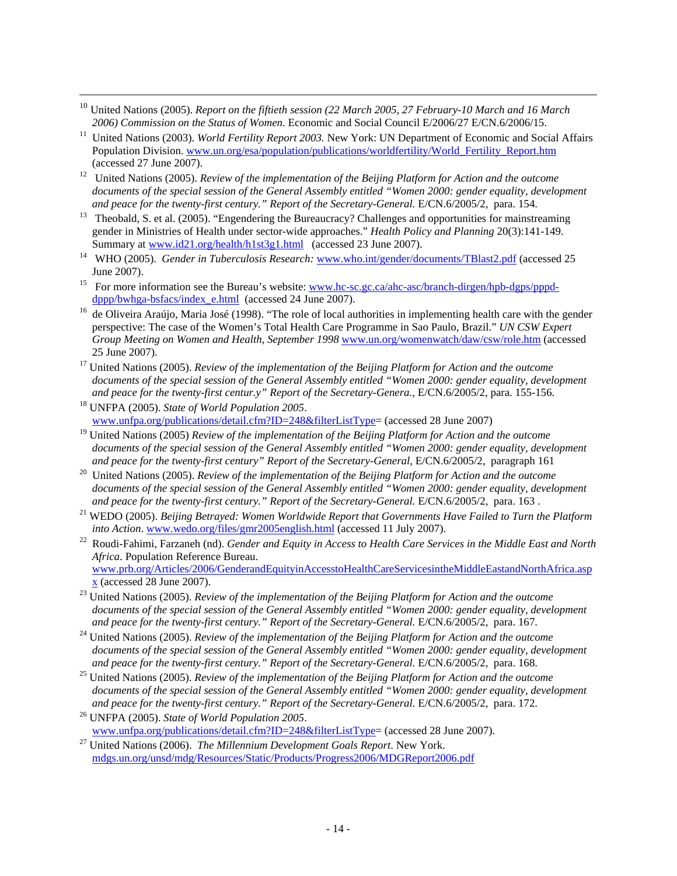<span id="page-13-0"></span><sup>10</sup> United Nations (2005). *Report on the fiftieth session (22 March 2005, 27 February-10 March and 16 March* 

- *2006) Commission on the Status of Women*. Economic and Social Council E/2006/27 E/CN.6/2006/15. 11 United Nations (2003). *World Fertility Report 2003.* New York: UN Department of Economic and Social Affairs Population Division. [www.un.org/esa/population/publications/worldfertility/World\\_Fertility\\_Report.htm](http://www.un.org/esa/population/publications/worldfertility/World_Fertility_Report.htm) (accessed 27 June 2007). 12 United Nations (2005). *Review of the implementation of the Beijing Platform for Action and the outcome*
- *documents of the special session of the General Assembly entitled "Women 2000: gender equality, development*
- and peace for the twenty-first century." Report of the Secretary-General. E/CN.6/2005/2, para. 154.<br><sup>13</sup> Theobald, S. et al. (2005). "Engendering the Bureaucracy? Challenges and opportunities for mainstreaming gender in Ministries of Health under sector-wide approaches." *Health Policy and Planning* 20(3):141-149.<br>Summary at www.id21.org/health/h1st3g1.html (accessed 23 June 2007).
- <sup>14</sup> WHO (2005). *Gender in Tuberculosis Research:* [www.who.int/gender/documents/TBlast2.pdf](http://www.who.int/gender/documents/TBlast2.pdf) (accessed 25
- June 2007).<br>
<sup>15</sup> For more information see the Bureau's website: <u>www.hc-sc.gc.ca/ahc-asc/branch-dirgen/hpb-dgps/pppd-</u><br>
dppp/bwhga-bsfacs/index e.html (accessed 24 June 2007).
- <sup>16</sup> de Oliveira Araújo, Maria José (1998). "The role of local authorities in implementing health care with the gender perspective: The case of the Women's Total Health Care Programme in Sao Paulo, Brazil." *UN CSW Expert Group Meeting on Women and Health, September 1998* [www.un.org/womenwatch/daw/csw/role.htm](http://www.un.org/womenwatch/daw/csw/role.htm) (accessed 25 June 2007). 17 United Nations (2005). *Review of the implementation of the Beijing Platform for Action and the outcome*
- *documents of the special session of the General Assembly entitled "Women 2000: gender equality, development and peace for the twenty-first centur.y" Report of the Secretary-Genera.*, E/CN.6/2005/2, para. 155-156. 18 UNFPA (2005). *State of World Population 2005*.
- [www.unfpa.org/publications/detail.cfm?ID=248&filterListType=](http://www.unfpa.org/publications/detail.cfm?ID=248&filterListType) (accessed 28 June 2007)
- 19 United Nations (2005) *Review of the implementation of the Beijing Platform for Action and the outcome documents of the special session of the General Assembly entitled "Women 2000: gender equality, development*
- *and peace for the twenty-first century" Report of the Secretary-General, E/CN.6/2005/2, paragraph 161*<sup>20</sup> United Nations (2005). *Review of the implementation of the Beijing Platform for Action and the outcome documents of the special session of the General Assembly entitled "Women 2000: gender equality, development*
- *and peace for the twenty-first century." Report of the Secretary-General.* E/CN.6/2005/2, para. 163 .<br><sup>21</sup> WEDO (2005). *Beijing Betrayed: Women Worldwide Report that Governments Have Failed to Turn the Platform <i>into Act*
- <sup>22</sup> Roudi-Fahimi, Farzaneh (nd). *Gender and Equity in Access to Health Care Services in the Middle East and North Africa*. Population Reference Bureau. [www.prb.org/Articles/2006/GenderandEquityinAccesstoHealthCareServicesintheMiddleEastandNorthAfrica.asp](http://www.prb.org/Articles/2006/GenderandEquityinAccesstoHealthCareServicesintheMiddleEastandNorthAfrica.aspx)
- [x](http://www.prb.org/Articles/2006/GenderandEquityinAccesstoHealthCareServicesintheMiddleEastandNorthAfrica.aspx) (accessed 28 June 2007). 23 United Nations (2005). *Review of the implementation of the Beijing Platform for Action and the outcome documents of the special session of the General Assembly entitled "Women 2000: gender equality, development*
- *and peace for the twenty-first century." Report of the Secretary-General.* E/CN.6/2005/2, para. 167. 24 United Nations (2005). *Review of the implementation of the Beijing Platform for Action and the outcome documents of the special session of the General Assembly entitled "Women 2000: gender equality, development and peace for the twenty-first century." Report of the Secretary-General. E/CN.6/2005/2, para. 168.*
- <sup>25</sup> United Nations (2005). *Review of the implementation of the Beijing Platform for Action and the outcome documents of the special session of the General Assembly entitled "Women 2000: gender equality, development*
- *and peace for the twenty-first century." Report of the Secretary-General.* E/CN.6/2005/2, para. 172.<br><sup>26</sup> UNFPA (2005). *State of World Population 2005*.<br>www.unfpa.org/publications/detail.cfm?ID=248&filterListType= (acces
- <sup>27</sup> United Nations (2006). *The Millennium Development Goals Report*. New York. [mdgs.un.org/unsd/mdg/Resources/Static/Products/Progress2006/MDGReport2006.pdf](http://mdgs.un.org/unsd/mdg/Resources/Static/Products/Progress2006/MDGReport2006.pdf)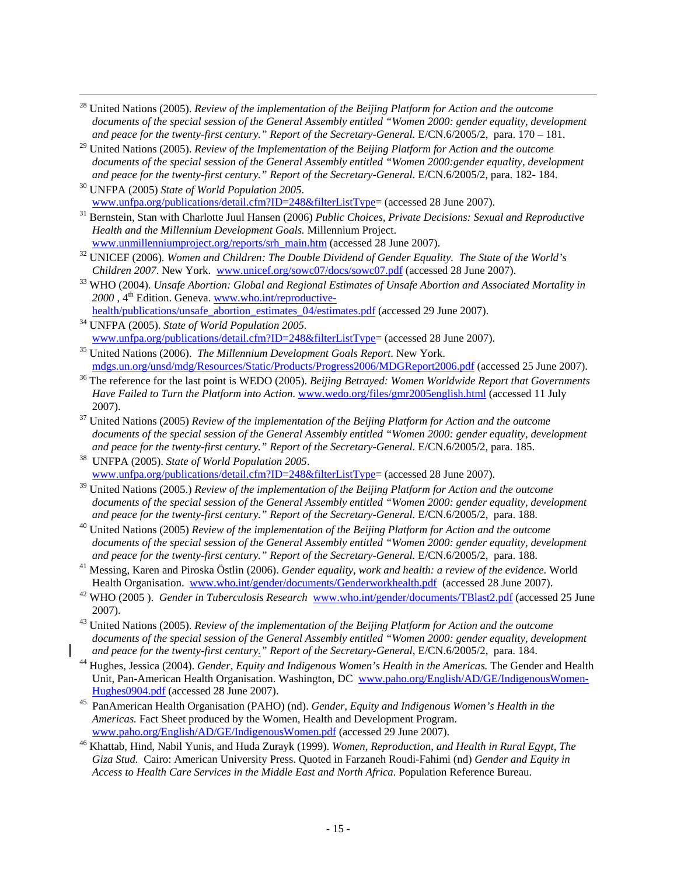- <span id="page-14-0"></span>28 United Nations (2005). *Review of the implementation of the Beijing Platform for Action and the outcome documents of the special session of the General Assembly entitled "Women 2000: gender equality, development and peace for the twenty-first century." Report of the Secretary-General.* E/CN.6/2005/2, para. 170 – 181.
- 29 United Nations (2005). *Review of the Implementation of the Beijing Platform for Action and the outcome documents of the special session of the General Assembly entitled "Women 2000:gender equality, development*
- *and peace for the twenty-first century." Report of the Secretary-General. E/CN.6/2005/2, para.* 182- 184.<sup>30</sup> UNFPA (2005) *State of World Population 2005*.<br>www.unfpa.org/publications/detail.cfm?ID=248&filterListType= (ac

- <sup>31</sup> Bernstein, Stan with Charlotte Juul Hansen (2006) *Public Choices, Private Decisions: Sexual and Reproductive Health and the Millennium Development Goals.* Millennium Project.
- [www.unmillenniumproject.org/reports/srh\\_main.htm](http://www.unmillenniumproject.org/reports/srh_main.htm) (accessed 28 June 2007).<br><sup>32</sup> UNICEF (2006). *Women and Children: The Double Dividend of Gender Equality. The State of the World's Children 2007. New York. www.unicef.org/so*
- <sup>33</sup> WHO (2004). *Unsafe Abortion: Global and Regional Estimates of Unsafe Abortion and Associated Mortality in* 2000, 4<sup>th</sup> Edition. Geneva. [www.who.int/reproductive-](http://www.who.int/reproductive-health/publications/unsafe_abortion_estimates_04/estimates.pdf)
- [health/publications/unsafe\\_abortion\\_estimates\\_04/estimates.pdf](http://www.who.int/reproductive-health/publications/unsafe_abortion_estimates_04/estimates.pdf) (accessed 29 June 2007). 34 UNFPA (2005). *State of World Population 2005.*
- 
- [www.unfpa.org/publications/detail.cfm?ID=248&filterListType=](http://www.unfpa.org/publications/detail.cfm?ID=248&filterListType) (accessed 28 June 2007). 35 United Nations (2006). *The Millennium Development Goals Report*. New York.
- <sup>36</sup> The reference for the last point is WEDO (2005). *Beijing Betrayed: Women Worldwide Report that Governments Have Failed to Turn the Platform into Action*. [www.wedo.org/files/gmr2005english.html](http://www.wedo.org/files/gmr2005english.html) (accessed 11 July
- 2007). 37 United Nations (2005) *Review of the implementation of the Beijing Platform for Action and the outcome documents of the special session of the General Assembly entitled "Women 2000: gender equality, development and peace for the twenty-first century." Report of the Secretary-General.* E/CN.6/2005/2, para. 185. 38 UNFPA (2005). *State of World Population 2005*.
- [www.unfpa.org/publications/detail.cfm?ID=248&filterListType=](http://www.unfpa.org/publications/detail.cfm?ID=248&filterListType) (accessed 28 June 2007).
- 39 United Nations (2005.) *Review of the implementation of the Beijing Platform for Action and the outcome documents of the special session of the General Assembly entitled "Women 2000: gender equality, development and peace for the twenty-first century." Report of the Secretary-General. E/CN.6/2005/2, para. 188.*
- <sup>40</sup> United Nations (2005) *Review of the implementation of the Beijing Platform for Action and the outcome* documents of the special session of the General Assembly entitled "Women 2000: gender equality, development and peace for the twenty-first century." Report of the Secretary-General. E/CN.6/2005/2, para. 188.
- <sup>41</sup> Messing, Karen and Piroska Östlin (2006). *Gender equality, work and health: a review of the evidence*. World Health Organisation. www.who.int/gender/documents/Genderworkhealth.pdf (accessed 28 June 2007).
- <sup>42</sup> WHO (2005). *Gender in Tuberculosis Research* www.who.int/gender/documents/TBlast2.pdf (accessed 25 June
- 2007). 43 United Nations (2005). *Review of the implementation of the Beijing Platform for Action and the outcome*  documents of the special session of the General Assembly entitled "Women 2000: gender equality, development and peace for the twenty-first century." Report of the Secretary-General, E/CN.6/2005/2, para. 184.
- <sup>44</sup> Hughes, Jessica (2004). *Gender, Equity and Indigenous Women's Health in the Americas*. The Gender and Health Unit, Pan-American Health Organisation. Washington, DC [www.paho.org/English/AD/GE/IndigenousWomen-](http://www.paho.org/English/AD/GE/IndigenousWomen-Hughes0904.pdf)
- [Hughes0904.pdf](http://www.paho.org/English/AD/GE/IndigenousWomen-Hughes0904.pdf) (accessed 28 June 2007). 45 PanAmerican Health Organisation (PAHO) (nd). *Gender, Equity and Indigenous Women's Health in the Americas.* Fact Sheet produced by the Women, Health and Development Program. www.paho.org/English/AD/GE/IndigenousWomen.pdf (accessed 29 June 2007).
- <sup>46</sup> Khattab, Hind, Nabil Yunis, and Huda Zurayk (1999). *Women, Reproduction, and Health in Rural Egypt, The Giza Stud.* Cairo: American University Press. Quoted in Farzaneh Roudi-Fahimi (nd) *Gender and Equity in Access to Health Care Services in the Middle East and North Africa.* Population Reference Bureau.